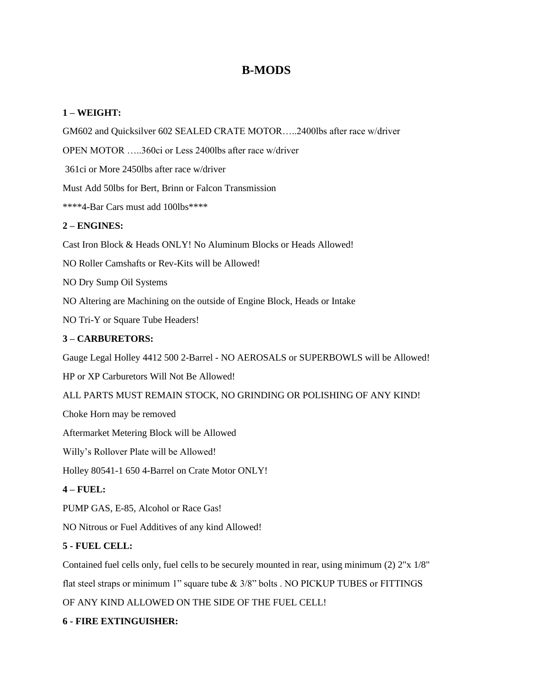# **B-MODS**

### **1 – WEIGHT:**

GM602 and Quicksilver 602 SEALED CRATE MOTOR…..2400lbs after race w/driver

OPEN MOTOR …..360ci or Less 2400lbs after race w/driver

361ci or More 2450lbs after race w/driver

Must Add 50lbs for Bert, Brinn or Falcon Transmission

\*\*\*\*4-Bar Cars must add 100lbs\*\*\*\*

#### **2 – ENGINES:**

Cast Iron Block & Heads ONLY! No Aluminum Blocks or Heads Allowed!

NO Roller Camshafts or Rev-Kits will be Allowed!

NO Dry Sump Oil Systems

NO Altering are Machining on the outside of Engine Block, Heads or Intake

NO Tri-Y or Square Tube Headers!

#### **3 – CARBURETORS:**

Gauge Legal Holley 4412 500 2-Barrel - NO AEROSALS or SUPERBOWLS will be Allowed!

HP or XP Carburetors Will Not Be Allowed!

ALL PARTS MUST REMAIN STOCK, NO GRINDING OR POLISHING OF ANY KIND!

Choke Horn may be removed

Aftermarket Metering Block will be Allowed

Willy's Rollover Plate will be Allowed!

Holley 80541-1 650 4-Barrel on Crate Motor ONLY!

#### **4 – FUEL:**

PUMP GAS, E-85, Alcohol or Race Gas!

NO Nitrous or Fuel Additives of any kind Allowed!

#### **5 - FUEL CELL:**

Contained fuel cells only, fuel cells to be securely mounted in rear, using minimum (2) 2"x 1/8"

flat steel straps or minimum 1" square tube & 3/8" bolts . NO PICKUP TUBES or FITTINGS

OF ANY KIND ALLOWED ON THE SIDE OF THE FUEL CELL!

#### **6 - FIRE EXTINGUISHER:**